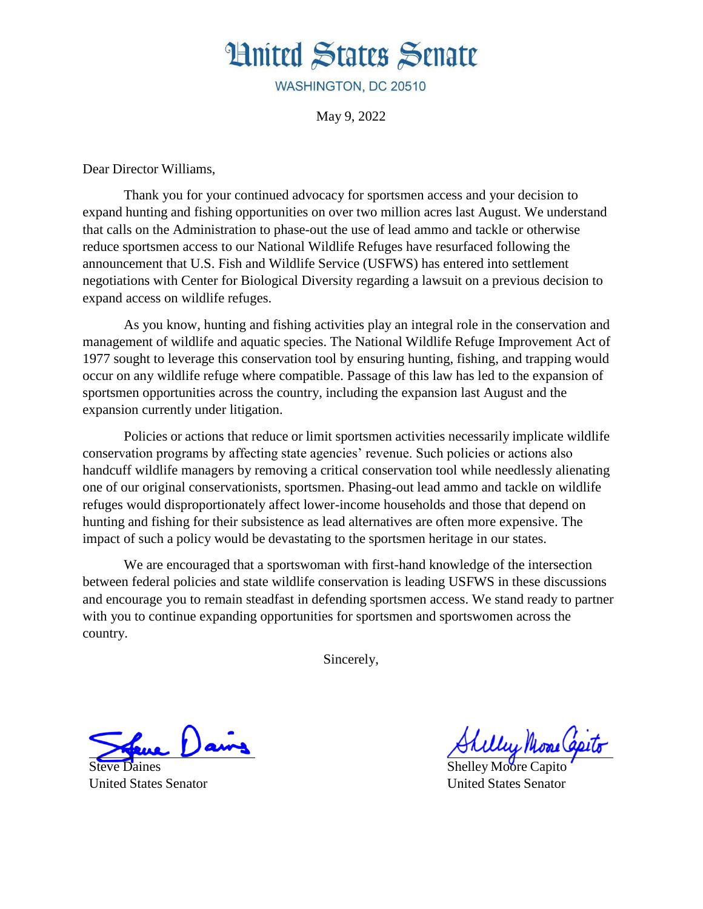## **Hnited States Senate**

WASHINGTON, DC 20510

May 9, 2022

Dear Director Williams,

Thank you for your continued advocacy for sportsmen access and your decision to expand hunting and fishing opportunities on over two million acres last August. We understand that calls on the Administration to phase-out the use of lead ammo and tackle or otherwise reduce sportsmen access to our National Wildlife Refuges have resurfaced following the announcement that U.S. Fish and Wildlife Service (USFWS) has entered into settlement negotiations with Center for Biological Diversity regarding a lawsuit on a previous decision to expand access on wildlife refuges.

As you know, hunting and fishing activities play an integral role in the conservation and management of wildlife and aquatic species. The National Wildlife Refuge Improvement Act of 1977 sought to leverage this conservation tool by ensuring hunting, fishing, and trapping would occur on any wildlife refuge where compatible. Passage of this law has led to the expansion of sportsmen opportunities across the country, including the expansion last August and the expansion currently under litigation.

Policies or actions that reduce or limit sportsmen activities necessarily implicate wildlife conservation programs by affecting state agencies' revenue. Such policies or actions also handcuff wildlife managers by removing a critical conservation tool while needlessly alienating one of our original conservationists, sportsmen. Phasing-out lead ammo and tackle on wildlife refuges would disproportionately affect lower-income households and those that depend on hunting and fishing for their subsistence as lead alternatives are often more expensive. The impact of such a policy would be devastating to the sportsmen heritage in our states.

We are encouraged that a sportswoman with first-hand knowledge of the intersection between federal policies and state wildlife conservation is leading USFWS in these discussions and encourage you to remain steadfast in defending sportsmen access. We stand ready to partner with you to continue expanding opportunities for sportsmen and sportswomen across the country.

Sincerely,

Steve Daines United States Senator

Mui Mone Capito

Shelley Moore Capito United States Senator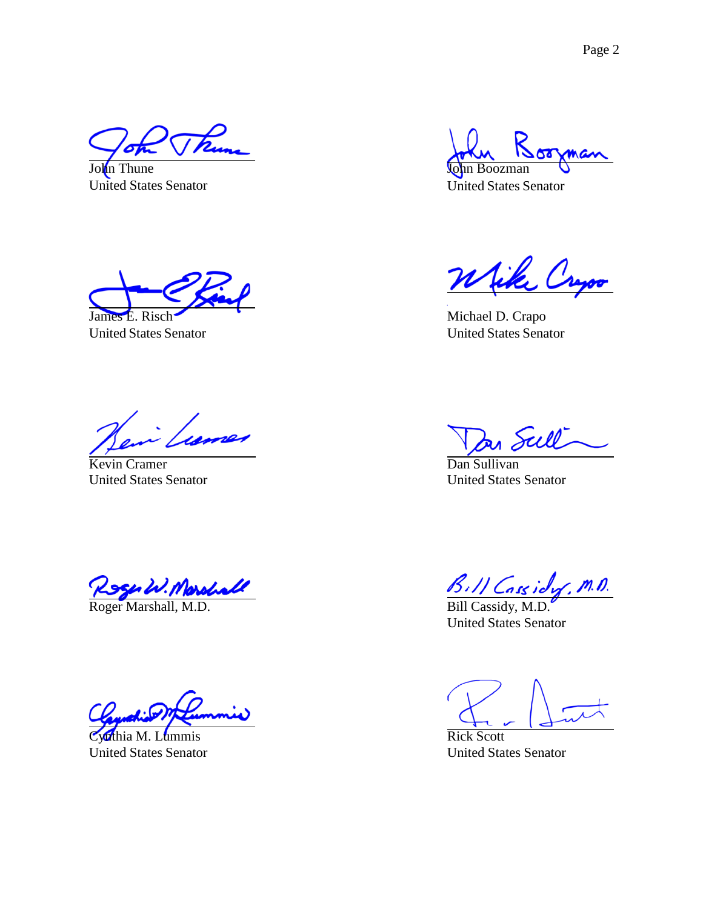John Thune United States Senator

John Boozman

United States Senator

James E. Risch

United States Senator

Michael D. Crapo United States Senator

Kevin Cramer United States Senator

Roger W. Morshall B. H. Cassidy, M.D.<br>Roger Marshall, M.D. Bill Cassidy, M.D.

thia M. Lummis United States Senator

<u>ull</u>

Dan Sullivan United States Senator

United States Senator

Rick Scott United States Senator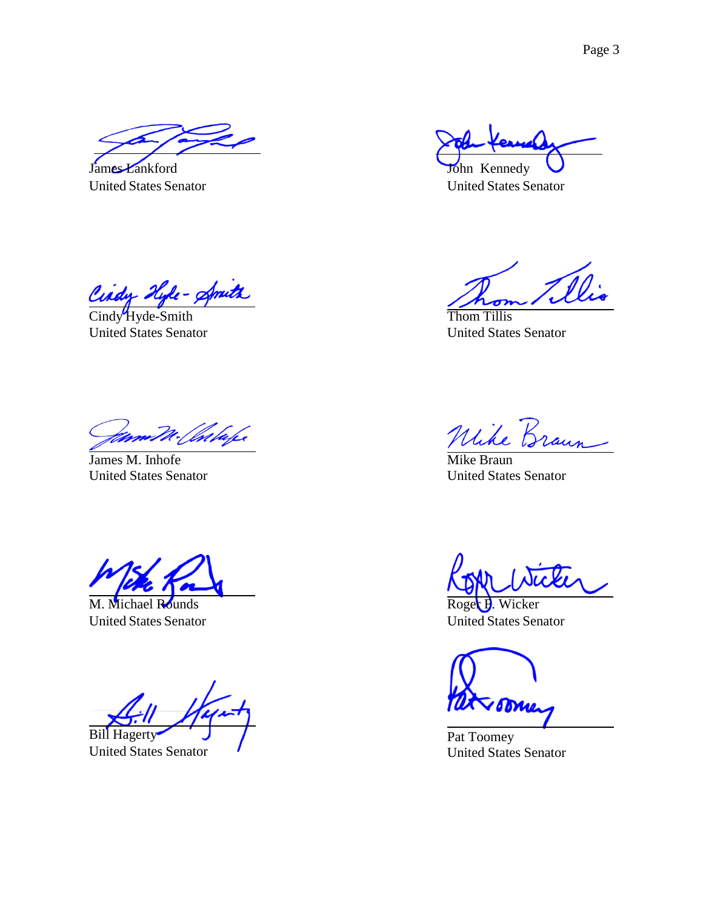James Lankford United States Senator

John Kennedy

United States Senator

idy Hyle- Amits

Cindy Hyde-Smith United States Senator

Thom Tillis United States Senator

James M. Inhofe United States Senator

M. Michael Rounds United States Senator

Bill Hagerty

United States Senator

 $\mathcal{U}$ 

Mike Braun United States Senator

Roger **H**. Wicker United States Senator

Pat Toomey United States Senator